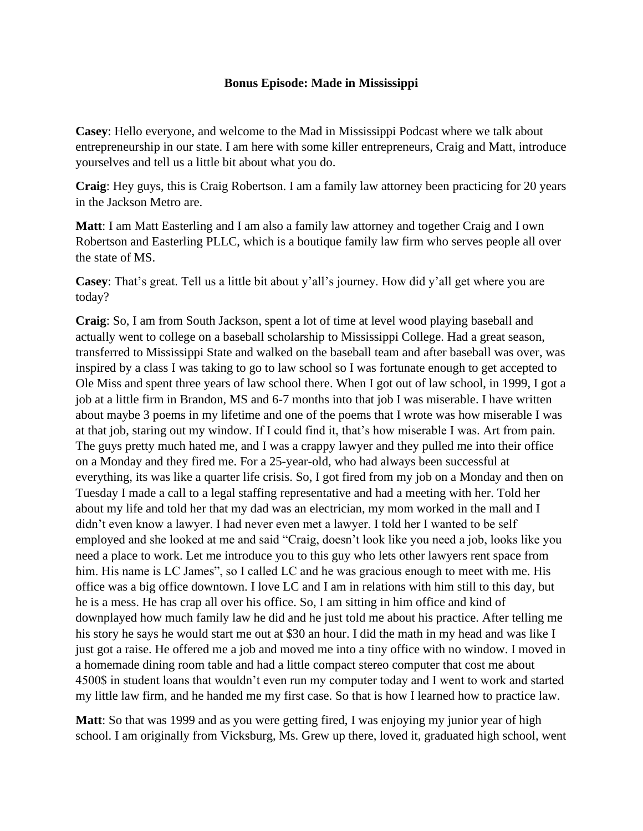## **Bonus Episode: Made in Mississippi**

**Casey**: Hello everyone, and welcome to the Mad in Mississippi Podcast where we talk about entrepreneurship in our state. I am here with some killer entrepreneurs, Craig and Matt, introduce yourselves and tell us a little bit about what you do.

**Craig**: Hey guys, this is Craig Robertson. I am a family law attorney been practicing for 20 years in the Jackson Metro are.

**Matt**: I am Matt Easterling and I am also a family law attorney and together Craig and I own Robertson and Easterling PLLC, which is a boutique family law firm who serves people all over the state of MS.

**Casey**: That's great. Tell us a little bit about y'all's journey. How did y'all get where you are today?

**Craig**: So, I am from South Jackson, spent a lot of time at level wood playing baseball and actually went to college on a baseball scholarship to Mississippi College. Had a great season, transferred to Mississippi State and walked on the baseball team and after baseball was over, was inspired by a class I was taking to go to law school so I was fortunate enough to get accepted to Ole Miss and spent three years of law school there. When I got out of law school, in 1999, I got a job at a little firm in Brandon, MS and 6-7 months into that job I was miserable. I have written about maybe 3 poems in my lifetime and one of the poems that I wrote was how miserable I was at that job, staring out my window. If I could find it, that's how miserable I was. Art from pain. The guys pretty much hated me, and I was a crappy lawyer and they pulled me into their office on a Monday and they fired me. For a 25-year-old, who had always been successful at everything, its was like a quarter life crisis. So, I got fired from my job on a Monday and then on Tuesday I made a call to a legal staffing representative and had a meeting with her. Told her about my life and told her that my dad was an electrician, my mom worked in the mall and I didn't even know a lawyer. I had never even met a lawyer. I told her I wanted to be self employed and she looked at me and said "Craig, doesn't look like you need a job, looks like you need a place to work. Let me introduce you to this guy who lets other lawyers rent space from him. His name is LC James", so I called LC and he was gracious enough to meet with me. His office was a big office downtown. I love LC and I am in relations with him still to this day, but he is a mess. He has crap all over his office. So, I am sitting in him office and kind of downplayed how much family law he did and he just told me about his practice. After telling me his story he says he would start me out at \$30 an hour. I did the math in my head and was like I just got a raise. He offered me a job and moved me into a tiny office with no window. I moved in a homemade dining room table and had a little compact stereo computer that cost me about 4500\$ in student loans that wouldn't even run my computer today and I went to work and started my little law firm, and he handed me my first case. So that is how I learned how to practice law.

**Matt**: So that was 1999 and as you were getting fired, I was enjoying my junior year of high school. I am originally from Vicksburg, Ms. Grew up there, loved it, graduated high school, went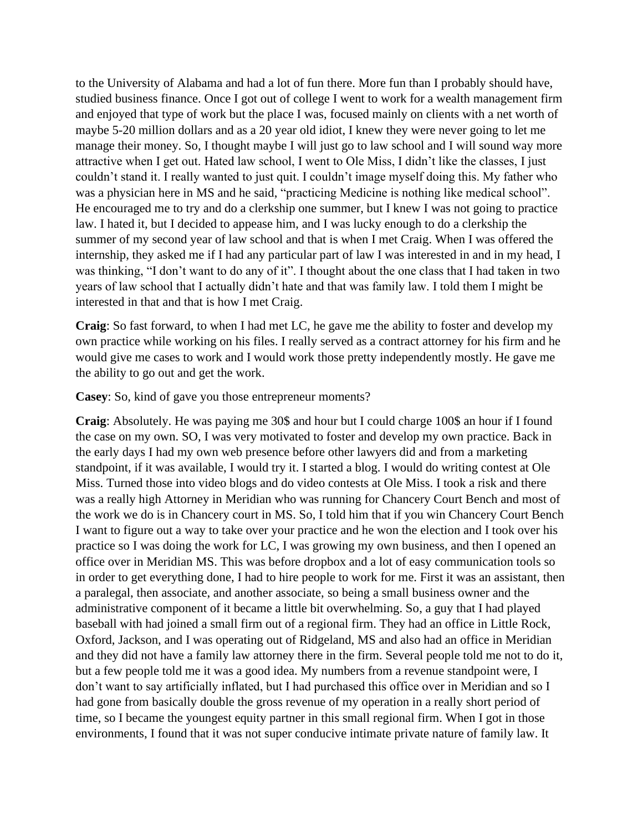to the University of Alabama and had a lot of fun there. More fun than I probably should have, studied business finance. Once I got out of college I went to work for a wealth management firm and enjoyed that type of work but the place I was, focused mainly on clients with a net worth of maybe 5-20 million dollars and as a 20 year old idiot, I knew they were never going to let me manage their money. So, I thought maybe I will just go to law school and I will sound way more attractive when I get out. Hated law school, I went to Ole Miss, I didn't like the classes, I just couldn't stand it. I really wanted to just quit. I couldn't image myself doing this. My father who was a physician here in MS and he said, "practicing Medicine is nothing like medical school". He encouraged me to try and do a clerkship one summer, but I knew I was not going to practice law. I hated it, but I decided to appease him, and I was lucky enough to do a clerkship the summer of my second year of law school and that is when I met Craig. When I was offered the internship, they asked me if I had any particular part of law I was interested in and in my head, I was thinking, "I don't want to do any of it". I thought about the one class that I had taken in two years of law school that I actually didn't hate and that was family law. I told them I might be interested in that and that is how I met Craig.

**Craig**: So fast forward, to when I had met LC, he gave me the ability to foster and develop my own practice while working on his files. I really served as a contract attorney for his firm and he would give me cases to work and I would work those pretty independently mostly. He gave me the ability to go out and get the work.

**Casey**: So, kind of gave you those entrepreneur moments?

**Craig**: Absolutely. He was paying me 30\$ and hour but I could charge 100\$ an hour if I found the case on my own. SO, I was very motivated to foster and develop my own practice. Back in the early days I had my own web presence before other lawyers did and from a marketing standpoint, if it was available, I would try it. I started a blog. I would do writing contest at Ole Miss. Turned those into video blogs and do video contests at Ole Miss. I took a risk and there was a really high Attorney in Meridian who was running for Chancery Court Bench and most of the work we do is in Chancery court in MS. So, I told him that if you win Chancery Court Bench I want to figure out a way to take over your practice and he won the election and I took over his practice so I was doing the work for LC, I was growing my own business, and then I opened an office over in Meridian MS. This was before dropbox and a lot of easy communication tools so in order to get everything done, I had to hire people to work for me. First it was an assistant, then a paralegal, then associate, and another associate, so being a small business owner and the administrative component of it became a little bit overwhelming. So, a guy that I had played baseball with had joined a small firm out of a regional firm. They had an office in Little Rock, Oxford, Jackson, and I was operating out of Ridgeland, MS and also had an office in Meridian and they did not have a family law attorney there in the firm. Several people told me not to do it, but a few people told me it was a good idea. My numbers from a revenue standpoint were, I don't want to say artificially inflated, but I had purchased this office over in Meridian and so I had gone from basically double the gross revenue of my operation in a really short period of time, so I became the youngest equity partner in this small regional firm. When I got in those environments, I found that it was not super conducive intimate private nature of family law. It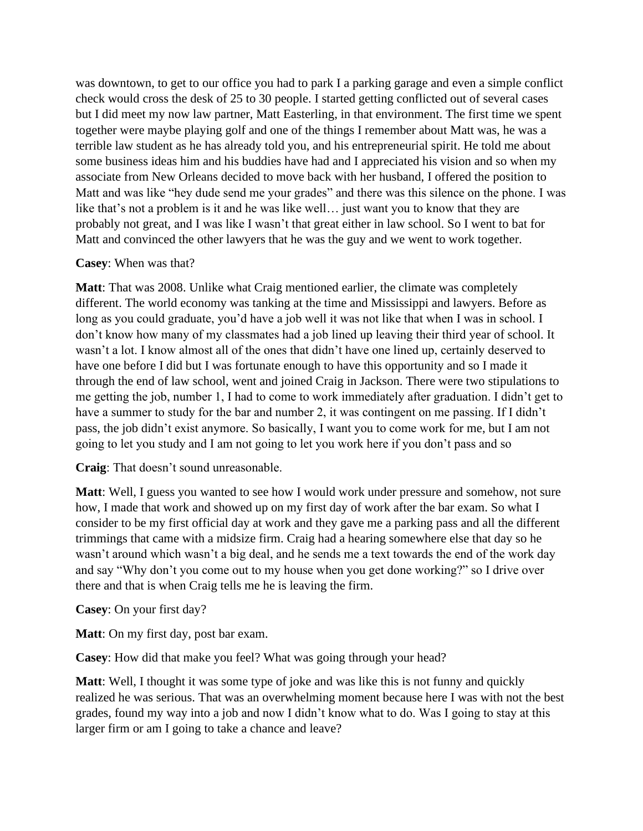was downtown, to get to our office you had to park I a parking garage and even a simple conflict check would cross the desk of 25 to 30 people. I started getting conflicted out of several cases but I did meet my now law partner, Matt Easterling, in that environment. The first time we spent together were maybe playing golf and one of the things I remember about Matt was, he was a terrible law student as he has already told you, and his entrepreneurial spirit. He told me about some business ideas him and his buddies have had and I appreciated his vision and so when my associate from New Orleans decided to move back with her husband, I offered the position to Matt and was like "hey dude send me your grades" and there was this silence on the phone. I was like that's not a problem is it and he was like well... just want you to know that they are probably not great, and I was like I wasn't that great either in law school. So I went to bat for Matt and convinced the other lawyers that he was the guy and we went to work together.

## **Casey**: When was that?

**Matt**: That was 2008. Unlike what Craig mentioned earlier, the climate was completely different. The world economy was tanking at the time and Mississippi and lawyers. Before as long as you could graduate, you'd have a job well it was not like that when I was in school. I don't know how many of my classmates had a job lined up leaving their third year of school. It wasn't a lot. I know almost all of the ones that didn't have one lined up, certainly deserved to have one before I did but I was fortunate enough to have this opportunity and so I made it through the end of law school, went and joined Craig in Jackson. There were two stipulations to me getting the job, number 1, I had to come to work immediately after graduation. I didn't get to have a summer to study for the bar and number 2, it was contingent on me passing. If I didn't pass, the job didn't exist anymore. So basically, I want you to come work for me, but I am not going to let you study and I am not going to let you work here if you don't pass and so

**Craig**: That doesn't sound unreasonable.

**Matt**: Well, I guess you wanted to see how I would work under pressure and somehow, not sure how, I made that work and showed up on my first day of work after the bar exam. So what I consider to be my first official day at work and they gave me a parking pass and all the different trimmings that came with a midsize firm. Craig had a hearing somewhere else that day so he wasn't around which wasn't a big deal, and he sends me a text towards the end of the work day and say "Why don't you come out to my house when you get done working?" so I drive over there and that is when Craig tells me he is leaving the firm.

**Casey**: On your first day?

**Matt**: On my first day, post bar exam.

**Casey**: How did that make you feel? What was going through your head?

**Matt**: Well, I thought it was some type of joke and was like this is not funny and quickly realized he was serious. That was an overwhelming moment because here I was with not the best grades, found my way into a job and now I didn't know what to do. Was I going to stay at this larger firm or am I going to take a chance and leave?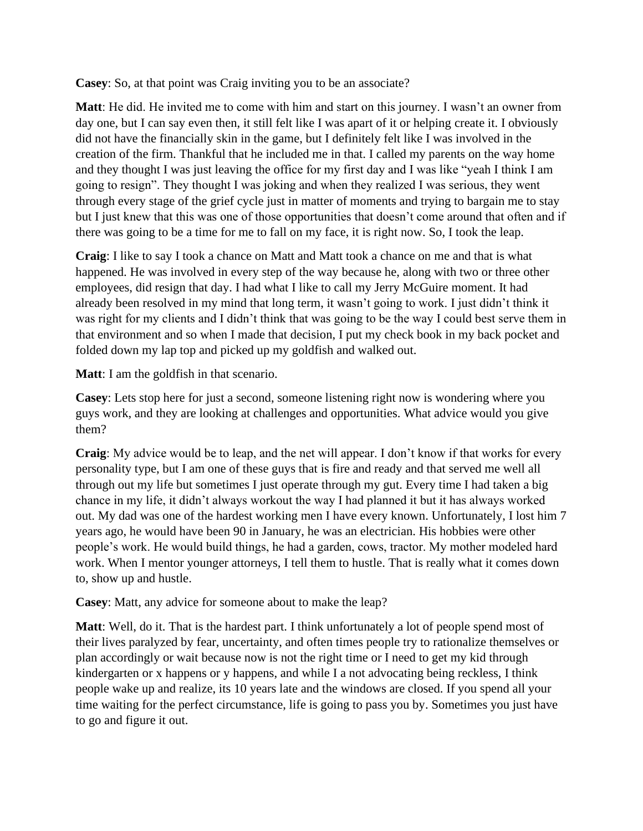**Casey**: So, at that point was Craig inviting you to be an associate?

**Matt**: He did. He invited me to come with him and start on this journey. I wasn't an owner from day one, but I can say even then, it still felt like I was apart of it or helping create it. I obviously did not have the financially skin in the game, but I definitely felt like I was involved in the creation of the firm. Thankful that he included me in that. I called my parents on the way home and they thought I was just leaving the office for my first day and I was like "yeah I think I am going to resign". They thought I was joking and when they realized I was serious, they went through every stage of the grief cycle just in matter of moments and trying to bargain me to stay but I just knew that this was one of those opportunities that doesn't come around that often and if there was going to be a time for me to fall on my face, it is right now. So, I took the leap.

**Craig**: I like to say I took a chance on Matt and Matt took a chance on me and that is what happened. He was involved in every step of the way because he, along with two or three other employees, did resign that day. I had what I like to call my Jerry McGuire moment. It had already been resolved in my mind that long term, it wasn't going to work. I just didn't think it was right for my clients and I didn't think that was going to be the way I could best serve them in that environment and so when I made that decision, I put my check book in my back pocket and folded down my lap top and picked up my goldfish and walked out.

**Matt**: I am the goldfish in that scenario.

**Casey**: Lets stop here for just a second, someone listening right now is wondering where you guys work, and they are looking at challenges and opportunities. What advice would you give them?

**Craig**: My advice would be to leap, and the net will appear. I don't know if that works for every personality type, but I am one of these guys that is fire and ready and that served me well all through out my life but sometimes I just operate through my gut. Every time I had taken a big chance in my life, it didn't always workout the way I had planned it but it has always worked out. My dad was one of the hardest working men I have every known. Unfortunately, I lost him 7 years ago, he would have been 90 in January, he was an electrician. His hobbies were other people's work. He would build things, he had a garden, cows, tractor. My mother modeled hard work. When I mentor younger attorneys, I tell them to hustle. That is really what it comes down to, show up and hustle.

**Casey**: Matt, any advice for someone about to make the leap?

**Matt**: Well, do it. That is the hardest part. I think unfortunately a lot of people spend most of their lives paralyzed by fear, uncertainty, and often times people try to rationalize themselves or plan accordingly or wait because now is not the right time or I need to get my kid through kindergarten or x happens or y happens, and while I a not advocating being reckless, I think people wake up and realize, its 10 years late and the windows are closed. If you spend all your time waiting for the perfect circumstance, life is going to pass you by. Sometimes you just have to go and figure it out.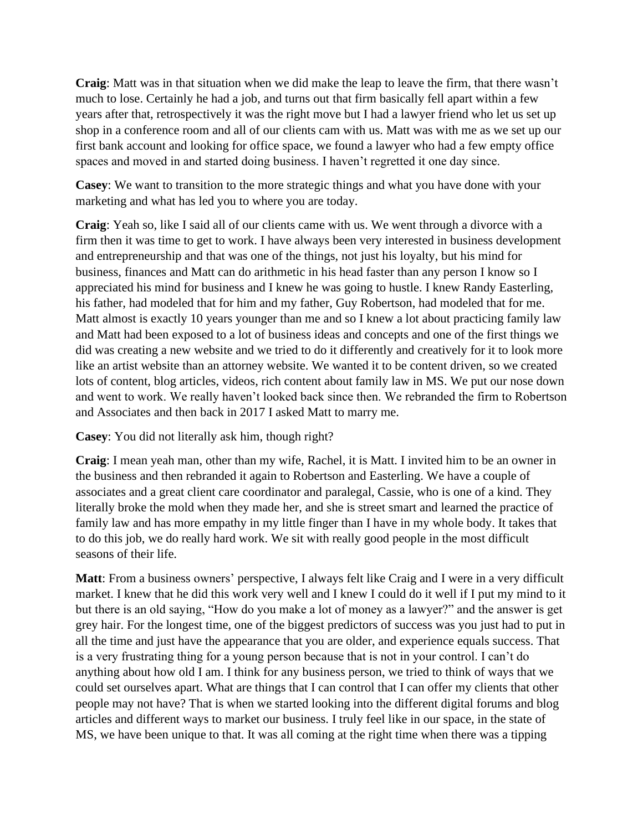**Craig**: Matt was in that situation when we did make the leap to leave the firm, that there wasn't much to lose. Certainly he had a job, and turns out that firm basically fell apart within a few years after that, retrospectively it was the right move but I had a lawyer friend who let us set up shop in a conference room and all of our clients cam with us. Matt was with me as we set up our first bank account and looking for office space, we found a lawyer who had a few empty office spaces and moved in and started doing business. I haven't regretted it one day since.

**Casey**: We want to transition to the more strategic things and what you have done with your marketing and what has led you to where you are today.

**Craig**: Yeah so, like I said all of our clients came with us. We went through a divorce with a firm then it was time to get to work. I have always been very interested in business development and entrepreneurship and that was one of the things, not just his loyalty, but his mind for business, finances and Matt can do arithmetic in his head faster than any person I know so I appreciated his mind for business and I knew he was going to hustle. I knew Randy Easterling, his father, had modeled that for him and my father, Guy Robertson, had modeled that for me. Matt almost is exactly 10 years younger than me and so I knew a lot about practicing family law and Matt had been exposed to a lot of business ideas and concepts and one of the first things we did was creating a new website and we tried to do it differently and creatively for it to look more like an artist website than an attorney website. We wanted it to be content driven, so we created lots of content, blog articles, videos, rich content about family law in MS. We put our nose down and went to work. We really haven't looked back since then. We rebranded the firm to Robertson and Associates and then back in 2017 I asked Matt to marry me.

**Casey**: You did not literally ask him, though right?

**Craig**: I mean yeah man, other than my wife, Rachel, it is Matt. I invited him to be an owner in the business and then rebranded it again to Robertson and Easterling. We have a couple of associates and a great client care coordinator and paralegal, Cassie, who is one of a kind. They literally broke the mold when they made her, and she is street smart and learned the practice of family law and has more empathy in my little finger than I have in my whole body. It takes that to do this job, we do really hard work. We sit with really good people in the most difficult seasons of their life.

**Matt**: From a business owners' perspective, I always felt like Craig and I were in a very difficult market. I knew that he did this work very well and I knew I could do it well if I put my mind to it but there is an old saying, "How do you make a lot of money as a lawyer?" and the answer is get grey hair. For the longest time, one of the biggest predictors of success was you just had to put in all the time and just have the appearance that you are older, and experience equals success. That is a very frustrating thing for a young person because that is not in your control. I can't do anything about how old I am. I think for any business person, we tried to think of ways that we could set ourselves apart. What are things that I can control that I can offer my clients that other people may not have? That is when we started looking into the different digital forums and blog articles and different ways to market our business. I truly feel like in our space, in the state of MS, we have been unique to that. It was all coming at the right time when there was a tipping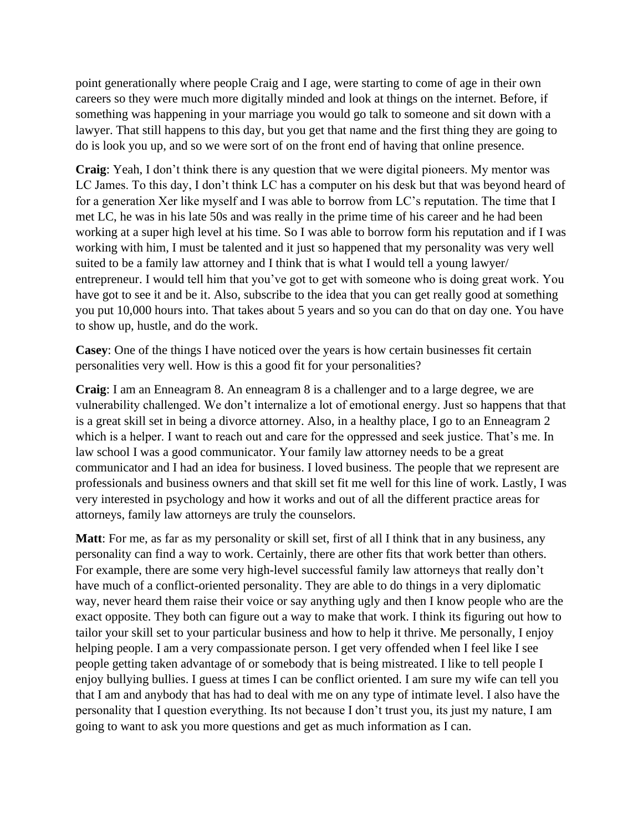point generationally where people Craig and I age, were starting to come of age in their own careers so they were much more digitally minded and look at things on the internet. Before, if something was happening in your marriage you would go talk to someone and sit down with a lawyer. That still happens to this day, but you get that name and the first thing they are going to do is look you up, and so we were sort of on the front end of having that online presence.

**Craig**: Yeah, I don't think there is any question that we were digital pioneers. My mentor was LC James. To this day, I don't think LC has a computer on his desk but that was beyond heard of for a generation Xer like myself and I was able to borrow from LC's reputation. The time that I met LC, he was in his late 50s and was really in the prime time of his career and he had been working at a super high level at his time. So I was able to borrow form his reputation and if I was working with him, I must be talented and it just so happened that my personality was very well suited to be a family law attorney and I think that is what I would tell a young lawyer/ entrepreneur. I would tell him that you've got to get with someone who is doing great work. You have got to see it and be it. Also, subscribe to the idea that you can get really good at something you put 10,000 hours into. That takes about 5 years and so you can do that on day one. You have to show up, hustle, and do the work.

**Casey**: One of the things I have noticed over the years is how certain businesses fit certain personalities very well. How is this a good fit for your personalities?

**Craig**: I am an Enneagram 8. An enneagram 8 is a challenger and to a large degree, we are vulnerability challenged. We don't internalize a lot of emotional energy. Just so happens that that is a great skill set in being a divorce attorney. Also, in a healthy place, I go to an Enneagram 2 which is a helper. I want to reach out and care for the oppressed and seek justice. That's me. In law school I was a good communicator. Your family law attorney needs to be a great communicator and I had an idea for business. I loved business. The people that we represent are professionals and business owners and that skill set fit me well for this line of work. Lastly, I was very interested in psychology and how it works and out of all the different practice areas for attorneys, family law attorneys are truly the counselors.

**Matt**: For me, as far as my personality or skill set, first of all I think that in any business, any personality can find a way to work. Certainly, there are other fits that work better than others. For example, there are some very high-level successful family law attorneys that really don't have much of a conflict-oriented personality. They are able to do things in a very diplomatic way, never heard them raise their voice or say anything ugly and then I know people who are the exact opposite. They both can figure out a way to make that work. I think its figuring out how to tailor your skill set to your particular business and how to help it thrive. Me personally, I enjoy helping people. I am a very compassionate person. I get very offended when I feel like I see people getting taken advantage of or somebody that is being mistreated. I like to tell people I enjoy bullying bullies. I guess at times I can be conflict oriented. I am sure my wife can tell you that I am and anybody that has had to deal with me on any type of intimate level. I also have the personality that I question everything. Its not because I don't trust you, its just my nature, I am going to want to ask you more questions and get as much information as I can.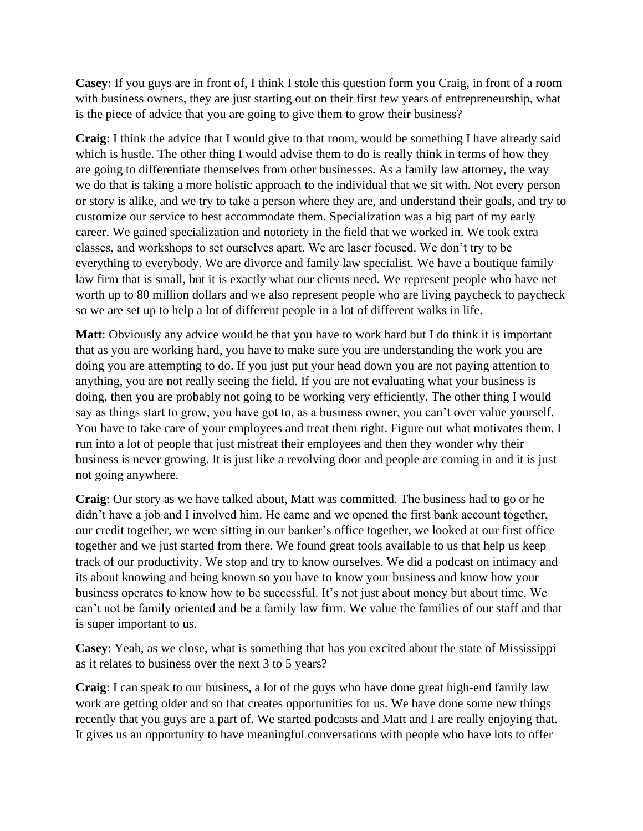**Casey**: If you guys are in front of, I think I stole this question form you Craig, in front of a room with business owners, they are just starting out on their first few years of entrepreneurship, what is the piece of advice that you are going to give them to grow their business?

**Craig**: I think the advice that I would give to that room, would be something I have already said which is hustle. The other thing I would advise them to do is really think in terms of how they are going to differentiate themselves from other businesses. As a family law attorney, the way we do that is taking a more holistic approach to the individual that we sit with. Not every person or story is alike, and we try to take a person where they are, and understand their goals, and try to customize our service to best accommodate them. Specialization was a big part of my early career. We gained specialization and notoriety in the field that we worked in. We took extra classes, and workshops to set ourselves apart. We are laser focused. We don't try to be everything to everybody. We are divorce and family law specialist. We have a boutique family law firm that is small, but it is exactly what our clients need. We represent people who have net worth up to 80 million dollars and we also represent people who are living paycheck to paycheck so we are set up to help a lot of different people in a lot of different walks in life.

**Matt**: Obviously any advice would be that you have to work hard but I do think it is important that as you are working hard, you have to make sure you are understanding the work you are doing you are attempting to do. If you just put your head down you are not paying attention to anything, you are not really seeing the field. If you are not evaluating what your business is doing, then you are probably not going to be working very efficiently. The other thing I would say as things start to grow, you have got to, as a business owner, you can't over value yourself. You have to take care of your employees and treat them right. Figure out what motivates them. I run into a lot of people that just mistreat their employees and then they wonder why their business is never growing. It is just like a revolving door and people are coming in and it is just not going anywhere.

**Craig**: Our story as we have talked about, Matt was committed. The business had to go or he didn't have a job and I involved him. He came and we opened the first bank account together, our credit together, we were sitting in our banker's office together, we looked at our first office together and we just started from there. We found great tools available to us that help us keep track of our productivity. We stop and try to know ourselves. We did a podcast on intimacy and its about knowing and being known so you have to know your business and know how your business operates to know how to be successful. It's not just about money but about time. We can't not be family oriented and be a family law firm. We value the families of our staff and that is super important to us.

**Casey**: Yeah, as we close, what is something that has you excited about the state of Mississippi as it relates to business over the next 3 to 5 years?

**Craig**: I can speak to our business, a lot of the guys who have done great high-end family law work are getting older and so that creates opportunities for us. We have done some new things recently that you guys are a part of. We started podcasts and Matt and I are really enjoying that. It gives us an opportunity to have meaningful conversations with people who have lots to offer